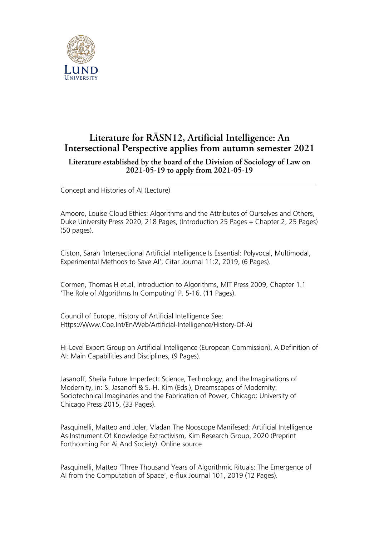

## **Literature for RÄSN12, Artificial Intelligence: An Intersectional Perspective applies from autumn semester 2021**

## **Literature established by the board of the Division of Sociology of Law on 2021-05-19 to apply from 2021-05-19**

Concept and Histories of AI (Lecture)

Amoore, Louise Cloud Ethics: Algorithms and the Attributes of Ourselves and Others, Duke University Press 2020, 218 Pages, (Introduction 25 Pages + Chapter 2, 25 Pages) (50 pages).

Ciston, Sarah 'Intersectional Artificial Intelligence Is Essential: Polyvocal, Multimodal, Experimental Methods to Save AI', Citar Journal 11:2, 2019, (6 Pages).

Cormen, Thomas H et.al, Introduction to Algorithms, MIT Press 2009, Chapter 1.1 'The Role of Algorithms In Computing' P. 5-16. (11 Pages).

Council of Europe, History of Artificial Intelligence See: Https://Www.Coe.Int/En/Web/Artificial-Intelligence/History-Of-Ai

Hi-Level Expert Group on Artificial Intelligence (European Commission), A Definition of AI: Main Capabilities and Disciplines, (9 Pages).

Jasanoff, Sheila Future Imperfect: Science, Technology, and the Imaginations of Modernity, in: S. Jasanoff & S.-H. Kim (Eds.), Dreamscapes of Modernity: Sociotechnical Imaginaries and the Fabrication of Power, Chicago: University of Chicago Press 2015, (33 Pages).

Pasquinelli, Matteo and Joler, Vladan The Nooscope Manifesed: Artificial Intelligence As Instrument Of Knowledge Extractivism, Kim Research Group, 2020 (Preprint Forthcoming For Ai And Society). Online source

Pasquinelli, Matteo 'Three Thousand Years of Algorithmic Rituals: The Emergence of AI from the Computation of Space', e-flux Journal 101, 2019 (12 Pages).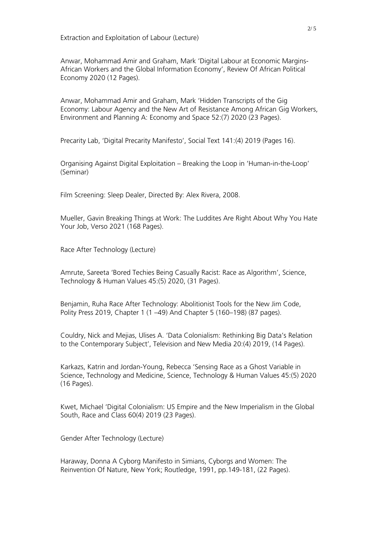Anwar, Mohammad Amir and Graham, Mark 'Digital Labour at Economic Margins-African Workers and the Global Information Economy', Review Of African Political Economy 2020 (12 Pages).

Anwar, Mohammad Amir and Graham, Mark 'Hidden Transcripts of the Gig Economy: Labour Agency and the New Art of Resistance Among African Gig Workers, Environment and Planning A: Economy and Space 52:(7) 2020 (23 Pages).

Precarity Lab, 'Digital Precarity Manifesto', Social Text 141:(4) 2019 (Pages 16).

Organising Against Digital Exploitation – Breaking the Loop in 'Human-in-the-Loop' (Seminar)

Film Screening: Sleep Dealer, Directed By: Alex Rivera, 2008.

Mueller, Gavin Breaking Things at Work: The Luddites Are Right About Why You Hate Your Job, Verso 2021 (168 Pages).

Race After Technology (Lecture)

Amrute, Sareeta 'Bored Techies Being Casually Racist: Race as Algorithm', Science, Technology & Human Values 45:(5) 2020, (31 Pages).

Benjamin, Ruha Race After Technology: Abolitionist Tools for the New Jim Code, Polity Press 2019, Chapter 1 (1 –49) And Chapter 5 (160–198) (87 pages).

Couldry, Nick and Mejias, Ulises A. 'Data Colonialism: Rethinking Big Data's Relation to the Contemporary Subject', Television and New Media 20:(4) 2019, (14 Pages).

Karkazs, Katrin and Jordan-Young, Rebecca 'Sensing Race as a Ghost Variable in Science, Technology and Medicine, Science, Technology & Human Values 45:(5) 2020 (16 Pages).

Kwet, Michael 'Digital Colonialism: US Empire and the New Imperialism in the Global South, Race and Class 60(4) 2019 (23 Pages).

Gender After Technology (Lecture)

Haraway, Donna A Cyborg Manifesto in Simians, Cyborgs and Women: The Reinvention Of Nature, New York; Routledge, 1991, pp.149-181, (22 Pages).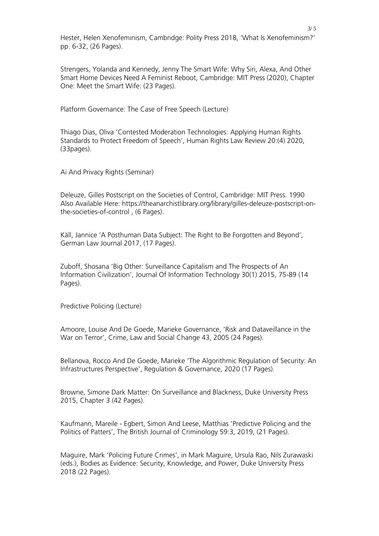Hester, Helen Xenofeminism, Cambridge: Polity Press 2018, 'What Is Xenofeminism?' pp. 6-32, (26 Pages).

Strengers, Yolanda and Kennedy, Jenny The Smart Wife: Why Siri, Alexa, And Other Smart Home Devices Need A Feminist Reboot, Cambridge: MIT Press (2020), Chapter One: Meet the Smart Wife: (23 Pages).

Platform Governance: The Case of Free Speech (Lecture)

Thiago Dias, Oliva 'Contested Moderation Technologies: Applying Human Rights Standards to Protect Freedom of Speech', Human Rights Law Review 20:(4) 2020, (33pages).

Ai And Privacy Rights (Seminar)

Deleuze, Gilles Postscript on the Societies of Control, Cambridge: MIT Press. 1990 Also Available Here: https://theanarchistlibrary.org/library/gilles-deleuze-postscript-onthe-societies-of-control , (6 Pages).

Käll, Jannice 'A Posthuman Data Subject: The Right to Be Forgotten and Beyond', German Law Journal 2017, (17 Pages).

Zuboff, Shosana 'Big Other: Surveillance Capitalism and The Prospects of An Information Civilization', Journal Of Information Technology 30(1) 2015, 75-89 (14 Pages).

Predictive Policing (Lecture)

Amoore, Louise And De Goede, Marieke Governance, 'Risk and Dataveillance in the War on Terror', Crime, Law and Social Change 43, 2005 (24 Pages).

Bellanova, Rocco And De Goede, Marieke 'The Algorithmic Regulation of Security: An Infrastructures Perspective', Regulation & Governance, 2020 (17 Pages).

Browne, Simone Dark Matter: On Surveillance and Blackness, Duke University Press 2015, Chapter 3 (42 Pages).

Kaufmann, Mareile - Egbert, Simon And Leese, Matthias 'Predictive Policing and the Politics of Patters', The British Journal of Criminology 59:3, 2019, (21 Pages).

Maguire, Mark 'Policing Future Crimes', in Mark Maguire, Ursula Rao, Nils Zurawaski (eds.), Bodies as Evidence: Security, Knowledge, and Power, Duke University Press 2018 (22 Pages).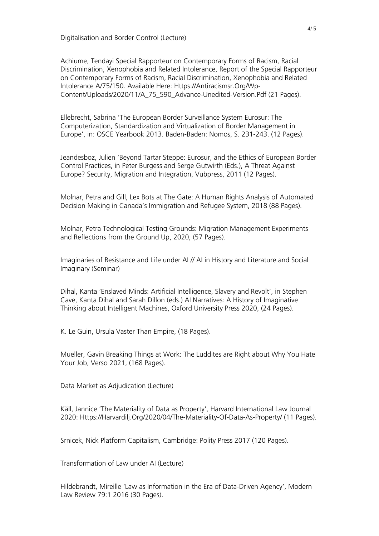Digitalisation and Border Control (Lecture)

Achiume, Tendayi Special Rapporteur on Contemporary Forms of Racism, Racial Discrimination, Xenophobia and Related Intolerance, Report of the Special Rapporteur on Contemporary Forms of Racism, Racial Discrimination, Xenophobia and Related Intolerance A/75/150. Available Here: Https://Antiracismsr.Org/Wp-Content/Uploads/2020/11/A\_75\_590\_Advance-Unedited-Version.Pdf (21 Pages).

Ellebrecht, Sabrina 'The European Border Surveillance System Eurosur: The Computerization, Standardization and Virtualization of Border Management in Europe', in: OSCE Yearbook 2013. Baden-Baden: Nomos, S. 231-243. (12 Pages).

Jeandesboz, Julien 'Beyond Tartar Steppe: Eurosur, and the Ethics of European Border Control Practices, in Peter Burgess and Serge Gutwirth (Eds.), A Threat Against Europe? Security, Migration and Integration, Vubpress, 2011 (12 Pages).

Molnar, Petra and Gill, Lex Bots at The Gate: A Human Rights Analysis of Automated Decision Making in Canada's Immigration and Refugee System, 2018 (88 Pages).

Molnar, Petra Technological Testing Grounds: Migration Management Experiments and Reflections from the Ground Up, 2020, (57 Pages).

Imaginaries of Resistance and Life under AI // AI in History and Literature and Social Imaginary (Seminar)

Dihal, Kanta 'Enslaved Minds: Artificial Intelligence, Slavery and Revolt', in Stephen Cave, Kanta Dihal and Sarah Dillon (eds.) AI Narratives: A History of Imaginative Thinking about Intelligent Machines, Oxford University Press 2020, (24 Pages).

K. Le Guin, Ursula Vaster Than Empire, (18 Pages).

Mueller, Gavin Breaking Things at Work: The Luddites are Right about Why You Hate Your Job, Verso 2021, (168 Pages).

Data Market as Adjudication (Lecture)

Käll, Jannice 'The Materiality of Data as Property', Harvard International Law Journal 2020: Https://Harvardilj.Org/2020/04/The-Materiality-Of-Data-As-Property/ (11 Pages).

Srnicek, Nick Platform Capitalism, Cambridge: Polity Press 2017 (120 Pages).

Transformation of Law under AI (Lecture)

Hildebrandt, Mireille 'Law as Information in the Era of Data-Driven Agency', Modern Law Review 79:1 2016 (30 Pages).